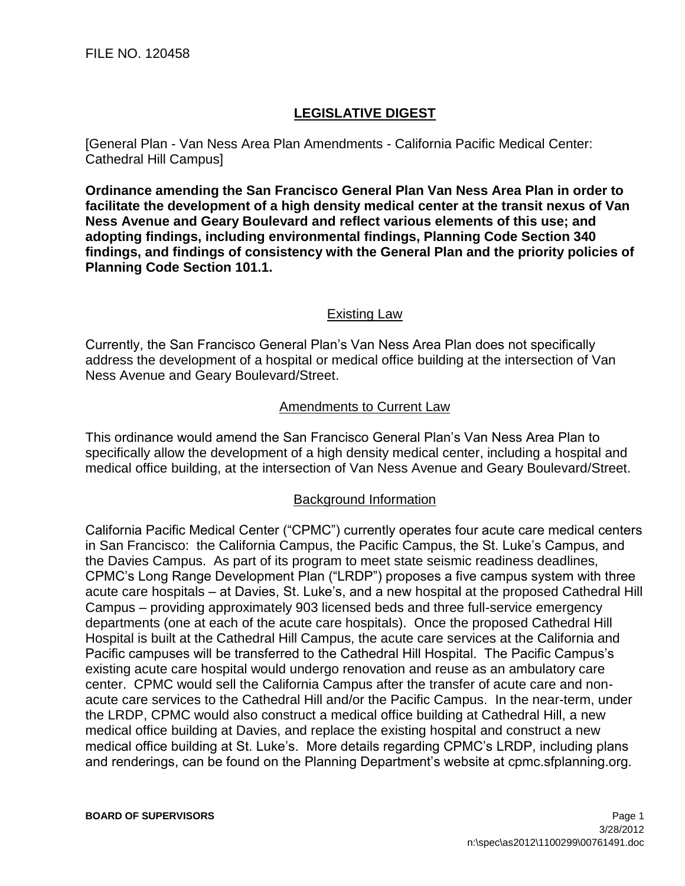## **LEGISLATIVE DIGEST**

[General Plan - Van Ness Area Plan Amendments - California Pacific Medical Center: Cathedral Hill Campus]

**Ordinance amending the San Francisco General Plan Van Ness Area Plan in order to facilitate the development of a high density medical center at the transit nexus of Van Ness Avenue and Geary Boulevard and reflect various elements of this use; and adopting findings, including environmental findings, Planning Code Section 340 findings, and findings of consistency with the General Plan and the priority policies of Planning Code Section 101.1.**

## Existing Law

Currently, the San Francisco General Plan's Van Ness Area Plan does not specifically address the development of a hospital or medical office building at the intersection of Van Ness Avenue and Geary Boulevard/Street.

## Amendments to Current Law

This ordinance would amend the San Francisco General Plan's Van Ness Area Plan to specifically allow the development of a high density medical center, including a hospital and medical office building, at the intersection of Van Ness Avenue and Geary Boulevard/Street.

## Background Information

California Pacific Medical Center ("CPMC") currently operates four acute care medical centers in San Francisco: the California Campus, the Pacific Campus, the St. Luke's Campus, and the Davies Campus. As part of its program to meet state seismic readiness deadlines, CPMC's Long Range Development Plan ("LRDP") proposes a five campus system with three acute care hospitals – at Davies, St. Luke's, and a new hospital at the proposed Cathedral Hill Campus – providing approximately 903 licensed beds and three full-service emergency departments (one at each of the acute care hospitals). Once the proposed Cathedral Hill Hospital is built at the Cathedral Hill Campus, the acute care services at the California and Pacific campuses will be transferred to the Cathedral Hill Hospital. The Pacific Campus's existing acute care hospital would undergo renovation and reuse as an ambulatory care center. CPMC would sell the California Campus after the transfer of acute care and nonacute care services to the Cathedral Hill and/or the Pacific Campus. In the near-term, under the LRDP, CPMC would also construct a medical office building at Cathedral Hill, a new medical office building at Davies, and replace the existing hospital and construct a new medical office building at St. Luke's. More details regarding CPMC's LRDP, including plans and renderings, can be found on the Planning Department's website at cpmc.sfplanning.org.